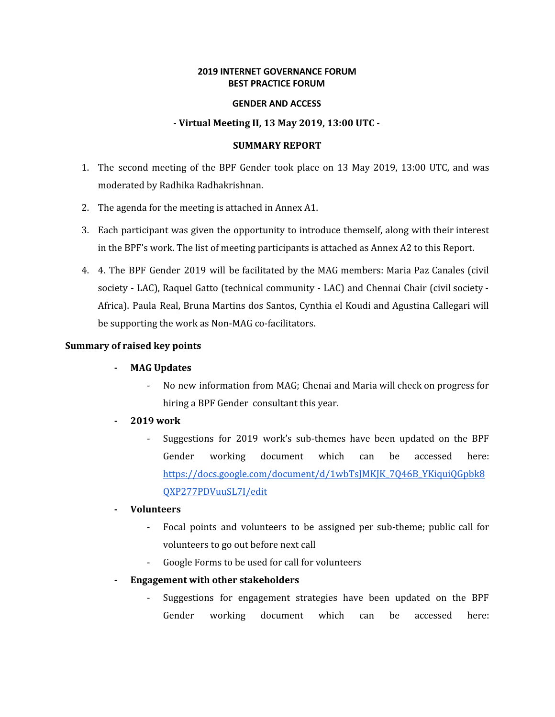### **2019 INTERNET GOVERNANCE FORUM BEST PRACTICE FORUM**

#### **GENDER AND ACCESS**

### **- Virtual Meeting II, 13 May 2019, 13:00 UTC -**

#### **SUMMARY REPORT**

- 1. The second meeting of the BPF Gender took place on 13 May 2019, 13:00 UTC, and was moderated by Radhika Radhakrishnan.
- 2. The agenda for the meeting is attached in Annex A1.
- 3. Each participant was given the opportunity to introduce themself, along with their interest in the BPF's work. The list of meeting participants is attached as Annex A2 to this Report.
- 4. 4. The BPF Gender 2019 will be facilitated by the MAG members: Maria Paz Canales (civil society - LAC), Raquel Gatto (technical community - LAC) and Chennai Chair (civil society - Africa). Paula Real, Bruna Martins dos Santos, Cynthia el Koudi and Agustina Callegari will be supporting the work as Non-MAG co-facilitators.

### **Summary of raised key points**

### **- MAG Updates**

- No new information from MAG; Chenai and Maria will check on progress for hiring a BPF Gender consultant this year.
- **- 2019 work**
	- Suggestions for 2019 work's sub-themes have been updated on the BPF Gender working document which can be accessed here: [https://docs.google.com/document/d/1wbTsJMKJK\\_7Q46B\\_YKiquiQGpbk8](https://docs.google.com/document/d/1wbTsJMKJK_7Q46B_YKiquiQGpbk8QXP277PDVuuSL7I/edit) [QXP277PDVuuSL7I/edit](https://docs.google.com/document/d/1wbTsJMKJK_7Q46B_YKiquiQGpbk8QXP277PDVuuSL7I/edit)

### **- Volunteers**

- Focal points and volunteers to be assigned per sub-theme; public call for volunteers to go out before next call
- Google Forms to be used for call for volunteers
- **- Engagement with other stakeholders**
	- Suggestions for engagement strategies have been updated on the BPF Gender working document which can be accessed here: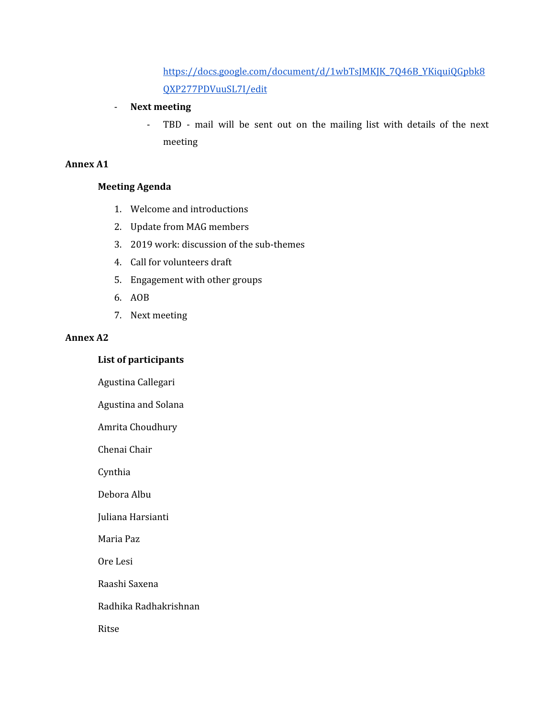[https://docs.google.com/document/d/1wbTsJMKJK\\_7Q46B\\_YKiquiQGpbk8](https://docs.google.com/document/d/1wbTsJMKJK_7Q46B_YKiquiQGpbk8QXP277PDVuuSL7I/edit) [QXP277PDVuuSL7I/edit](https://docs.google.com/document/d/1wbTsJMKJK_7Q46B_YKiquiQGpbk8QXP277PDVuuSL7I/edit)

## - **Next meeting**

- TBD - mail will be sent out on the mailing list with details of the next meeting

# **Annex A1**

## **Meeting Agenda**

- 1. Welcome and introductions
- 2. Update from MAG members
- 3. 2019 work: discussion of the sub-themes
- 4. Call for volunteers draft
- 5. Engagement with other groups
- 6. AOB
- 7. Next meeting

### **Annex A2**

# **List of participants**

Agustina Callegari

Agustina and Solana

Amrita Choudhury

Chenai Chair

Cynthia

Debora Albu

### Juliana Harsianti

Maria Paz

Ore Lesi

Raashi Saxena

Radhika Radhakrishnan

Ritse